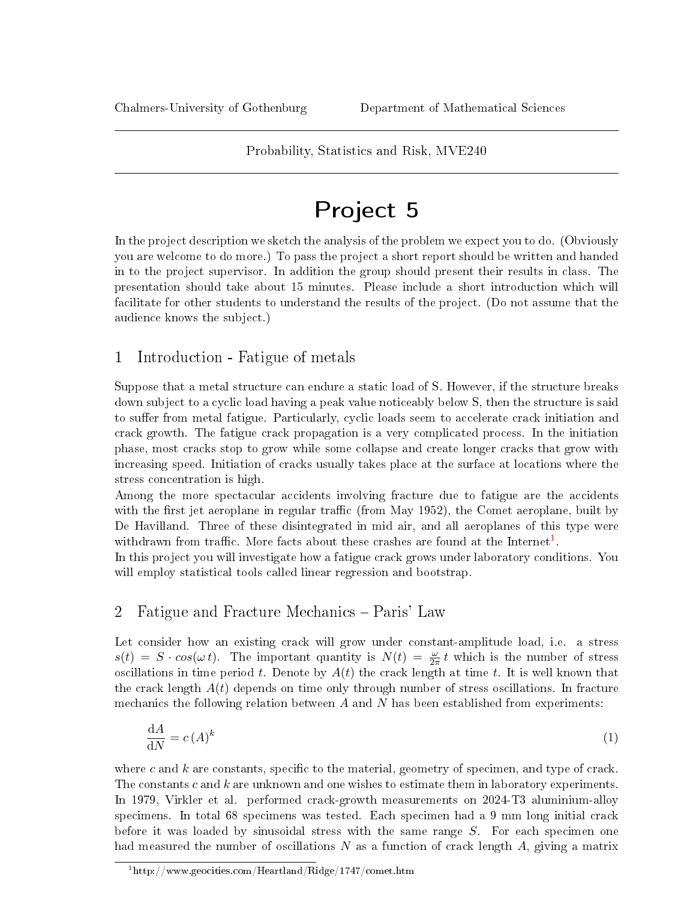# Probability, Statistics and Risk, MVE240

# Project 5

In the project description we sketch the analysis of the problem we expect you to do. (Obviously you are welcome to do more.) To pass the project a short report should be written and handed in to the project supervisor. In addition the group should present their results in class. The presentation should take about 15 minutes. Please include a short introduction which will facilitate for other students to understand the results of the project. (Do not assume that the audience knows the subject.)

# 1 Introduction - Fatigue of metals

Suppose that a metal structure can endure a static load of S. However, if the structure breaks down subject to a cyclic load having a peak value noticeably below S, then the structure is said to suffer from metal fatigue. Particularly, cyclic loads seem to accelerate crack initiation and crack growth. The fatigue crack propagation is a very complicated process. In the initiation phase, most cracks stop to grow while some collapse and create longer cracks that grow with increasing speed. Initiation of cracks usually takes place at the surface at locations where the stress concentration is high.

Among the more spectacular accidents involving fracture due to fatigue are the accidents with the first jet aeroplane in regular traffic (from May 1952), the Comet aeroplane, built by De Havilland. Three of these disintegrated in mid air, and all aeroplanes of this type were withdrawn from traffic. More facts about these crashes are found at the Internet<sup>[1](#page-0-0)</sup>.

In this project you will investigate how a fatigue crack grows under laboratory conditions. You will employ statistical tools called linear regression and bootstrap.

# 2 Fatigue and Fracture Mechanics – Paris' Law

Let consider how an existing crack will grow under constant-amplitude load, i.e. a stress  $s(t) = S \cdot cos(\omega t)$ . The important quantity is  $N(t) = \frac{\omega}{2\pi} t$  which is the number of stress oscillations in time period t. Denote by  $A(t)$  the crack length at time t. It is well known that the crack length  $A(t)$  depends on time only through number of stress oscillations. In fracture mechanics the following relation between  $A$  and  $N$  has been established from experiments:

$$
\frac{\mathrm{d}A}{\mathrm{d}N} = c\,(A)^k\tag{1}
$$

where c and  $k$  are constants, specific to the material, geometry of specimen, and type of crack. The constants c and k are unknown and one wishes to estimate them in laboratory experiments. In 1979, Virkler et al. performed crack-growth measurements on 2024-T3 aluminium-alloy specimens. In total 68 specimens was tested. Each specimen had a 9 mm long initial crack before it was loaded by sinusoidal stress with the same range  $S$ . For each specimen one had measured the number of oscillations  $N$  as a function of crack length  $A$ , giving a matrix

<span id="page-0-0"></span> $1$ http://www.geocities.com/Heartland/Ridge/1747/comet.htm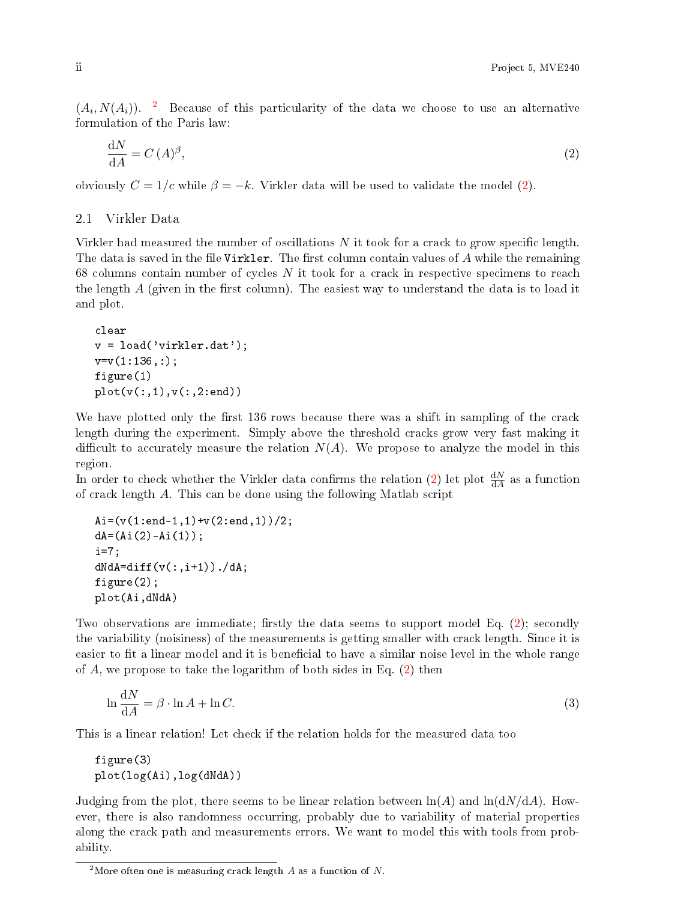$(A_i, N(A_i))$ . <sup>[2](#page-1-0)</sup> Because of this particularity of the data we choose to use an alternative formulation of the Paris law:

<span id="page-1-1"></span>
$$
\frac{\mathrm{d}N}{\mathrm{d}A} = C\,(A)^{\beta},\tag{2}
$$

obviously  $C = 1/c$  while  $\beta = -k$ . Virkler data will be used to validate the model [\(2\)](#page-1-1).

## 2.1 Virkler Data

Virkler had measured the number of oscillations  $N$  it took for a crack to grow specific length. The data is saved in the file Virkler. The first column contain values of  $A$  while the remaining 68 columns contain number of cycles  $N$  it took for a crack in respective specimens to reach the length  $A$  (given in the first column). The easiest way to understand the data is to load it and plot.

```
clear
v = load('virkler.dat');v=v(1:136,:);figure(1)
plot(v(:,1),v(:,2:end))
```
We have plotted only the first 136 rows because there was a shift in sampling of the crack length during the experiment. Simply above the threshold cracks grow very fast making it difficult to accurately measure the relation  $N(A)$ . We propose to analyze the model in this region.

In order to check whether the Virkler data confirms the relation [\(2\)](#page-1-1) let plot  $\frac{dN}{dA}$  as a function of crack length A. This can be done using the following Matlab script

```
Ai=(v(1:end-1,1)+v(2:end,1))/2;dA = (Ai(2) - Ai(1));i=7;dN dA = diff(v(:,i+1))./dA;figure(2);
plot(Ai,dNdA)
```
Two observations are immediate; firstly the data seems to support model Eq.  $(2)$ ; secondly the variability (noisiness) of the measurements is getting smaller with crack length. Since it is easier to fit a linear model and it is beneficial to have a similar noise level in the whole range of  $A$ , we propose to take the logarithm of both sides in Eq.  $(2)$  then

<span id="page-1-2"></span>
$$
\ln \frac{dN}{dA} = \beta \cdot \ln A + \ln C. \tag{3}
$$

This is a linear relation! Let check if the relation holds for the measured data too

figure(3) plot(log(Ai),log(dNdA))

Judging from the plot, there seems to be linear relation between  $\ln(A)$  and  $\ln(\mathrm{d}N/\mathrm{d}A)$ . However, there is also randomness occurring, probably due to variability of material properties along the crack path and measurements errors. We want to model this with tools from probability.

<span id="page-1-0"></span><sup>&</sup>lt;sup>2</sup>More often one is measuring crack length  $A$  as a function of  $N$ .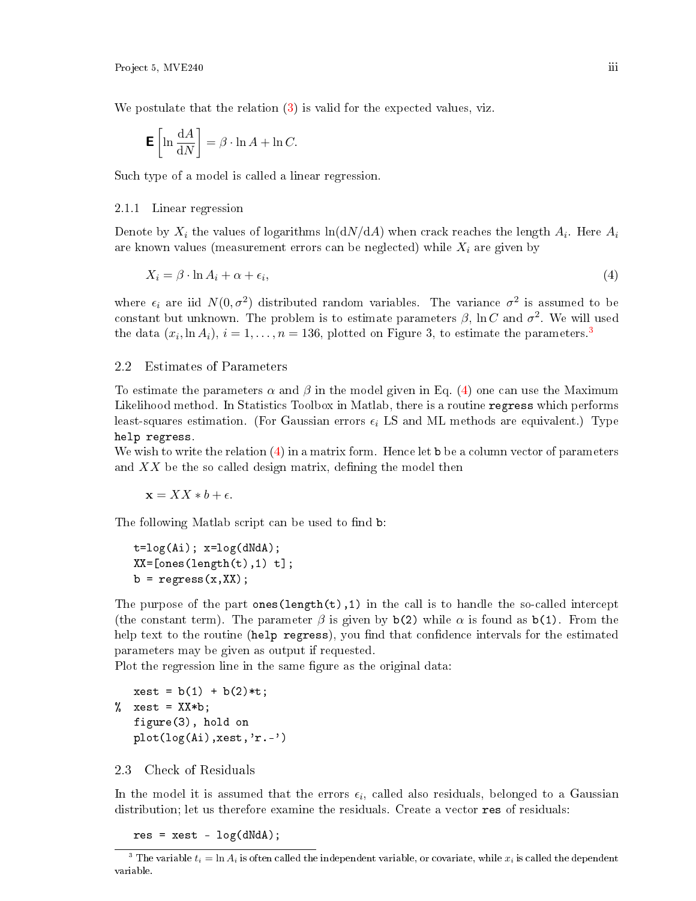We postulate that the relation [\(3\)](#page-1-2) is valid for the expected values, viz.

$$
\mathbf{E}\left[\ln\frac{\mathrm{d}A}{\mathrm{d}N}\right] = \beta \cdot \ln A + \ln C.
$$

Such type of a model is called a linear regression.

#### 2.1.1 Linear regression

Denote by  $X_i$  the values of logarithms  $\ln ({\rm d}N/{\rm d}A)$  when crack reaches the length  $A_i$ . Here  $A_i$ are known values (measurement errors can be neglected) while  $X_i$  are given by

<span id="page-2-1"></span>
$$
X_i = \beta \cdot \ln A_i + \alpha + \epsilon_i,\tag{4}
$$

where  $\epsilon_i$  are iid  $N(0, \sigma^2)$  distributed random variables. The variance  $\sigma^2$  is assumed to be constant but unknown. The problem is to estimate parameters  $\beta$ , ln C and  $\sigma^2$ . We will used the data  $(x_i, \ln A_i)$ ,  $i = 1, \ldots, n = 136$  $i = 1, \ldots, n = 136$  $i = 1, \ldots, n = 136$ , plotted on Figure 3, to estimate the parameters.<sup>3</sup>

## 2.2 Estimates of Parameters

To estimate the parameters  $\alpha$  and  $\beta$  in the model given in Eq. [\(4\)](#page-2-1) one can use the Maximum Likelihood method. In Statistics Toolbox in Matlab, there is a routine regress which performs least-squares estimation. (For Gaussian errors  $\epsilon_i$  LS and ML methods are equivalent.) Type help regress.

We wish to write the relation [\(4\)](#page-2-1) in a matrix form. Hence let b be a column vector of parameters and  $XX$  be the so called design matrix, defining the model then

 $\mathbf{x} = XX * b + \epsilon.$ 

The following Matlab script can be used to find b:

```
t = log(Ai); x = log(dN dA);XX = [ones(length(t), 1) t];b = \text{regress}(x, XX);
```
The purpose of the part ones (length(t), 1) in the call is to handle the so-called intercept (the constant term). The parameter  $\beta$  is given by b(2) while  $\alpha$  is found as b(1). From the help text to the routine (help regress), you find that confidence intervals for the estimated parameters may be given as output if requested.

Plot the regression line in the same figure as the original data:

```
xest = b(1) + b(2) * t;% xest = XX*b;figure(3), hold on
  plot(log(Ai),xest,'r.-')
```
## 2.3 Check of Residuals

In the model it is assumed that the errors  $\epsilon_i,$  called also residuals, belonged to a Gaussian distribution; let us therefore examine the residuals. Create a vector res of residuals:

<span id="page-2-0"></span> $res = xest - log(dN dA);$ 

<sup>&</sup>lt;sup>3</sup> The variable  $t_i = \ln A_i$  is often called the independent variable, or covariate, while  $x_i$  is called the dependent variable.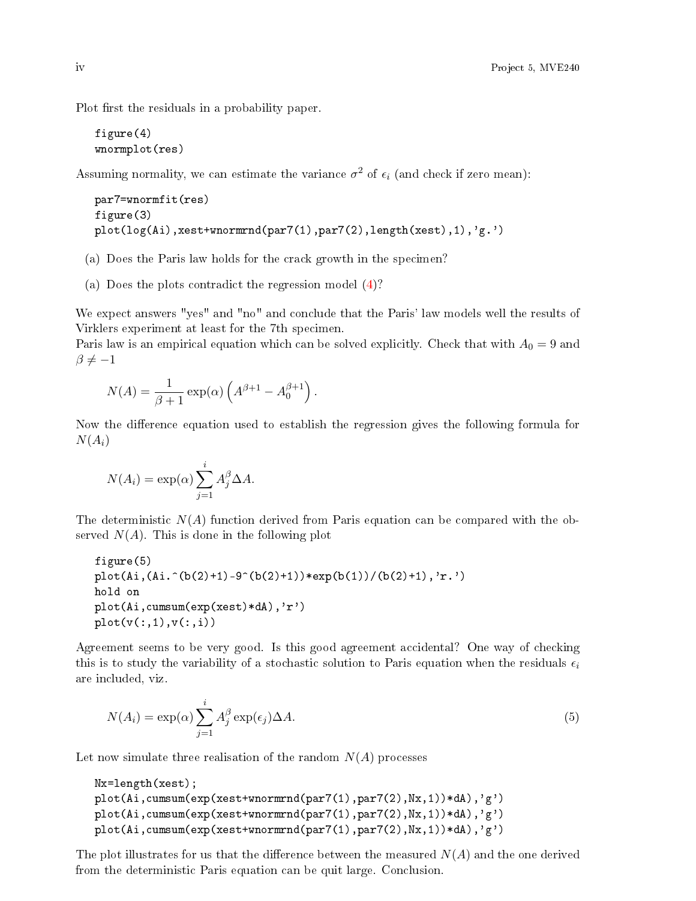Plot first the residuals in a probability paper.

```
figure(4)
wnormplot(res)
```
Assuming normality, we can estimate the variance  $\sigma^2$  of  $\epsilon_i$  (and check if zero mean):

```
par7=wnormfit(res)
figure(3)
plot(log(Ai),xest+wnormrnd(par7(1),par7(2),length(xest),1),'g.')
```
- (a) Does the Paris law holds for the crack growth in the specimen?
- (a) Does the plots contradict the regression model [\(4\)](#page-2-1)?

We expect answers "yes" and "no" and conclude that the Paris' law models well the results of Virklers experiment at least for the 7th specimen.

Paris law is an empirical equation which can be solved explicitly. Check that with  $A_0 = 9$  and  $\beta \neq -1$ 

$$
N(A) = \frac{1}{\beta + 1} \exp(\alpha) \left( A^{\beta + 1} - A_0^{\beta + 1} \right).
$$

Now the difference equation used to establish the regression gives the following formula for  $N(A_i)$ 

$$
N(A_i) = \exp(\alpha) \sum_{j=1}^{i} A_j^{\beta} \Delta A.
$$

The deterministic  $N(A)$  function derived from Paris equation can be compared with the observed  $N(A)$ . This is done in the following plot

```
figure(5)
plot(Ai,(Ai.^(b(2)+1)-9^(b(2)+1))*exp(b(1))/(b(2)+1),'r.')
hold on
plot(Ai,cumsum(exp(xest)*dA),'r')
plot(v(:,1),v(:,i))
```
Agreement seems to be very good. Is this good agreement accidental? One way of checking this is to study the variability of a stochastic solution to Paris equation when the residuals  $\epsilon_i$ are included, viz.

<span id="page-3-0"></span>
$$
N(A_i) = \exp(\alpha) \sum_{j=1}^{i} A_j^{\beta} \exp(\epsilon_j) \Delta A.
$$
 (5)

Let now simulate three realisation of the random  $N(A)$  processes

```
Nx=length(xest);
plot(Ai,cumsum(exp(xest+wnormrnd(par7(1),par7(2),Nx,1))*dA),'g')
plot(Ai,cumsum(exp(xest+wnormrnd(par7(1),par7(2),Nx,1))*dA),'g')
plot(Ai,cumsum(exp(xest+wnormrnd(par7(1),par7(2),Nx,1))*dA),'g')
```
The plot illustrates for us that the difference between the measured  $N(A)$  and the one derived from the deterministic Paris equation can be quit large. Conclusion.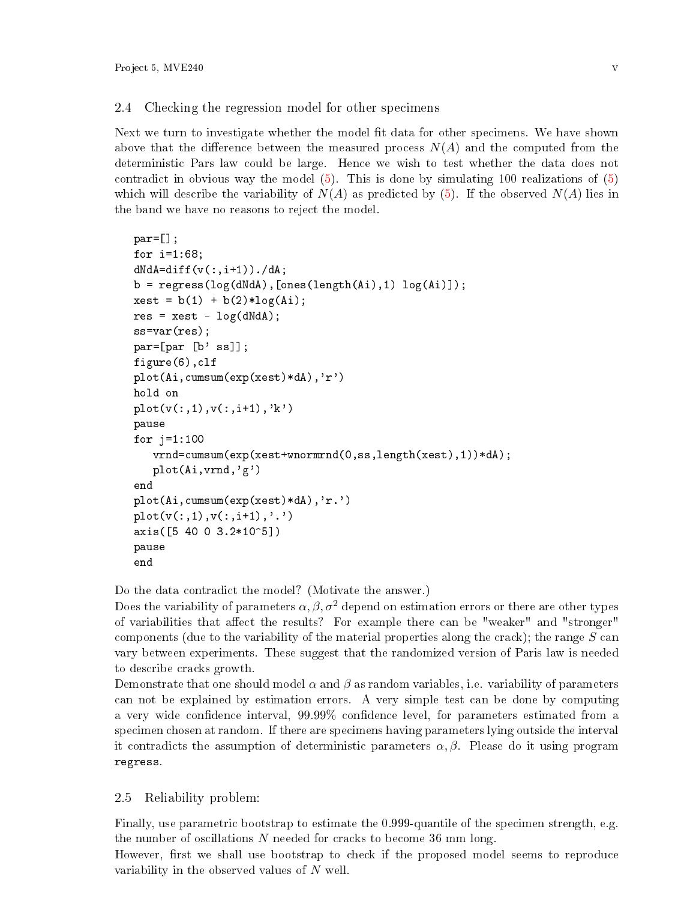# 2.4 Checking the regression model for other specimens

Next we turn to investigate whether the model fit data for other specimens. We have shown above that the difference between the measured process  $N(A)$  and the computed from the deterministic Pars law could be large. Hence we wish to test whether the data does not contradict in obvious way the model  $(5)$ . This is done by simulating 100 realizations of  $(5)$ which will describe the variability of  $N(A)$  as predicted by [\(5\)](#page-3-0). If the observed  $N(A)$  lies in the band we have no reasons to reject the model.

```
par=[];
for i=1:68;
dN dA = diff(v(:,i+1))./dA;b = \text{regress}(\log(dN dA), [\text{ones}(length(Ai), 1), \log(Ai)]);xest = b(1) + b(2) * log(Ai);res = xest - log(dN dA);ss=var(res);
par=[par [b' ss]];
figure(6),clf
plot(Ai,cumsum(exp(xest)*dA),'r')
hold on
plot(v(:,1),v(:,i+1),'k')pause
for j=1:100vrnd=cumsum(exp(xest+wnormrnd(0,ss,length(xest),1))*dA);
   plot(Ai,vrnd,'g')
end
plot(Ai,cumsum(exp(xest)*dA),'r.')
plot(v(:,1),v(:,i+1),'.')axis([5 40 0 3.2*10^5])
pause
end
```
Do the data contradict the model? (Motivate the answer.)

Does the variability of parameters  $\alpha$ ,  $\beta$ ,  $\sigma^2$  depend on estimation errors or there are other types of variabilities that affect the results? For example there can be "weaker" and "stronger" components (due to the variability of the material properties along the crack); the range  $S$  can vary between experiments. These suggest that the randomized version of Paris law is needed to describe cracks growth.

Demonstrate that one should model  $\alpha$  and  $\beta$  as random variables, i.e. variability of parameters can not be explained by estimation errors. A very simple test can be done by computing a very wide condence interval, 99.99% condence level, for parameters estimated from a specimen chosen at random. If there are specimens having parameters lying outside the interval it contradicts the assumption of deterministic parameters  $\alpha, \beta$ . Please do it using program regress.

# 2.5 Reliability problem:

Finally, use parametric bootstrap to estimate the 0.999-quantile of the specimen strength, e.g. the number of oscillations  $N$  needed for cracks to become 36 mm long.

However, first we shall use bootstrap to check if the proposed model seems to reproduce variability in the observed values of  $N$  well.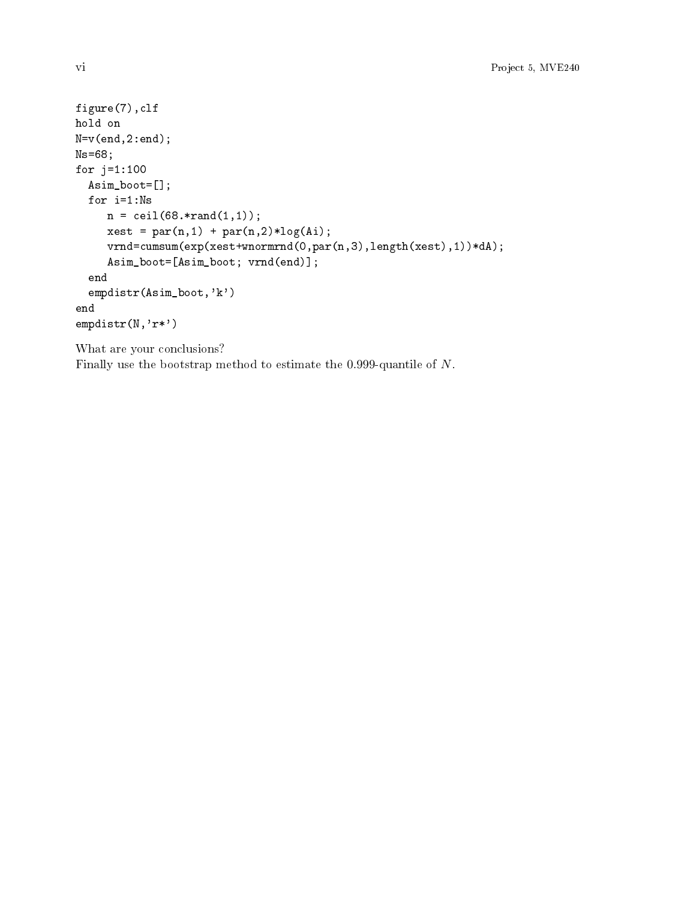```
figure(7),clf
hold on
N=v(end,2:end);
Ns=68;
for j=1:100Asim_boot=[];
  for i=1:Ns
     n = \text{ceil}(68.*rand(1,1));xest = par(n,1) + par(n,2)*log(Ai);vrnd=cumsum(exp(xest+wnormrnd(0,par(n,3),length(xest),1))*dA);
     Asim_boot=[Asim_boot; vrnd(end)];
  end
  empdistr(Asim_boot,'k')
end
empdistr(N,'r*')
```
What are your conclusions?

Finally use the bootstrap method to estimate the 0.999-quantile of N.